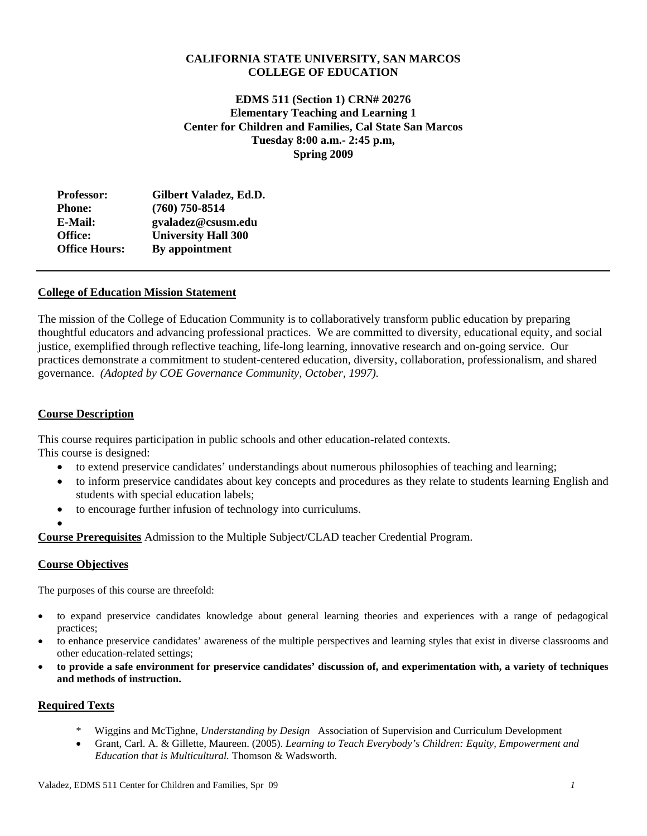# **CALIFORNIA STATE UNIVERSITY, SAN MARCOS COLLEGE OF EDUCATION**

**EDMS 511 (Section 1) CRN# 20276 Elementary Teaching and Learning 1 Center for Children and Families, Cal State San Marcos Tuesday 8:00 a.m.- 2:45 p.m, Spring 2009** 

| <b>Professor:</b>    | Gilbert Valadez, Ed.D.     |
|----------------------|----------------------------|
| <b>Phone:</b>        | $(760)$ 750-8514           |
| E-Mail:              | gvaladez@csusm.edu         |
| Office:              | <b>University Hall 300</b> |
| <b>Office Hours:</b> | By appointment             |

# **College of Education Mission Statement**

The mission of the College of Education Community is to collaboratively transform public education by preparing thoughtful educators and advancing professional practices. We are committed to diversity, educational equity, and social justice, exemplified through reflective teaching, life-long learning, innovative research and on-going service. Our practices demonstrate a commitment to student-centered education, diversity, collaboration, professionalism, and shared governance. *(Adopted by COE Governance Community, October, 1997).* 

# **Course Description**

This course requires participation in public schools and other education-related contexts. This course is designed:

- to extend preservice candidates' understandings about numerous philosophies of teaching and learning;
- to inform preservice candidates about key concepts and procedures as they relate to students learning English and students with special education labels;
- to encourage further infusion of technology into curriculums.
- •

**Course Prerequisites** Admission to the Multiple Subject/CLAD teacher Credential Program.

## **Course Objectives**

The purposes of this course are threefold:

- to expand preservice candidates knowledge about general learning theories and experiences with a range of pedagogical practices;
- to enhance preservice candidates' awareness of the multiple perspectives and learning styles that exist in diverse classrooms and other education-related settings;
- to provide a safe environment for preservice candidates' discussion of, and experimentation with, a variety of techniques **and methods of instruction.**

# **Required Texts**

- \* Wiggins and McTighne, *Understanding by Design* Association of Supervision and Curriculum Development
- Grant, Carl. A. & Gillette, Maureen. (2005). *Learning to Teach Everybody's Children: Equity, Empowerment and Education that is Multicultural.* Thomson & Wadsworth.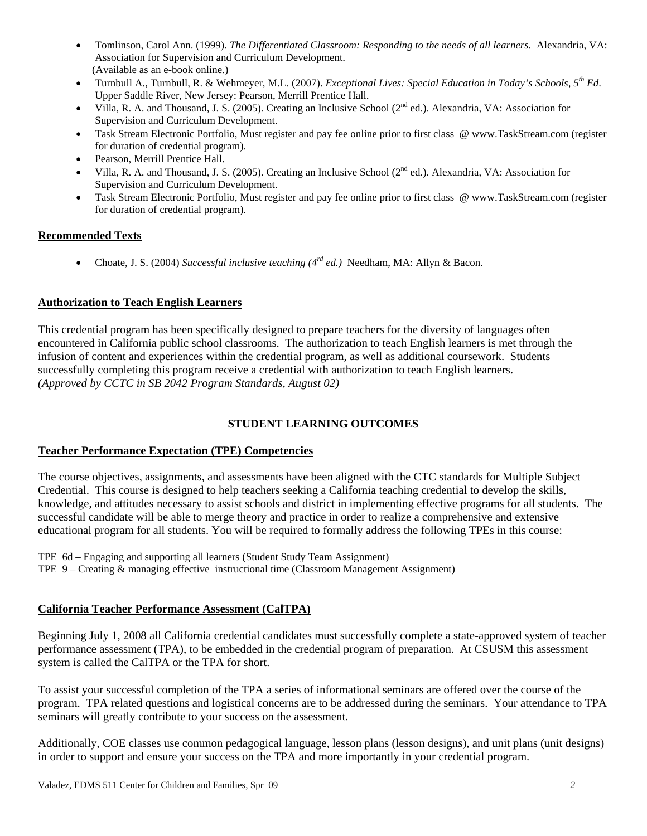- Association for Supervision and Curriculum Development. Tomlinson, Carol Ann. (1999). *The Differentiated Classroom: Responding to the needs of all learners.* Alexandria, VA: (Available as an e-book online.)
- • Turnbull A., Turnbull, R. & Wehmeyer, M.L. (2007). *Exceptional Lives: Special Education in Today's Schools, 5th Ed*. Upper Saddle River, New Jersey: Pearson, Merrill Prentice Hall.
- Supervision and Curriculum Development. Villa, R. A. and Thousand, J. S. (2005). Creating an Inclusive School (2<sup>nd</sup> ed.). Alexandria, VA: Association for
- Task Stream Electronic Portfolio, Must register and pay fee online prior to first class @ www.TaskStream.com (register for duration of credential program).
- Pearson, Merrill Prentice Hall.
- Supervision and Curriculum Development. Villa, R. A. and Thousand, J. S. (2005). Creating an Inclusive School (2<sup>nd</sup> ed.). Alexandria, VA: Association for
- Task Stream Electronic Portfolio, Must register and pay fee online prior to first class @ www.TaskStream.com (register for duration of credential program).

# **Recommended Texts**

• Choate, J. S. (2004) *Successful inclusive teaching (4<sup>rd</sup> ed.)* Needham, MA: Allyn & Bacon.

# **Authorization to Teach English Learners**

This credential program has been specifically designed to prepare teachers for the diversity of languages often encountered in California public school classrooms. The authorization to teach English learners is met through the infusion of content and experiences within the credential program, as well as additional coursework. Students successfully completing this program receive a credential with authorization to teach English learners. *(Approved by CCTC in SB 2042 Program Standards, August 02)* 

# **STUDENT LEARNING OUTCOMES**

# **Teacher Performance Expectation (TPE) Competencies**

The course objectives, assignments, and assessments have been aligned with the CTC standards for Multiple Subject Credential. This course is designed to help teachers seeking a California teaching credential to develop the skills, knowledge, and attitudes necessary to assist schools and district in implementing effective programs for all students. The successful candidate will be able to merge theory and practice in order to realize a comprehensive and extensive educational program for all students. You will be required to formally address the following TPEs in this course:

TPE 6d – Engaging and supporting all learners (Student Study Team Assignment)

TPE 9 – Creating & managing effective instructional time (Classroom Management Assignment)

# **California Teacher Performance Assessment (CalTPA)**

Beginning July 1, 2008 all California credential candidates must successfully complete a state-approved system of teacher performance assessment (TPA), to be embedded in the credential program of preparation. At CSUSM this assessment system is called the CalTPA or the TPA for short.

To assist your successful completion of the TPA a series of informational seminars are offered over the course of the program. TPA related questions and logistical concerns are to be addressed during the seminars. Your attendance to TPA seminars will greatly contribute to your success on the assessment.

Additionally, COE classes use common pedagogical language, lesson plans (lesson designs), and unit plans (unit designs) in order to support and ensure your success on the TPA and more importantly in your credential program.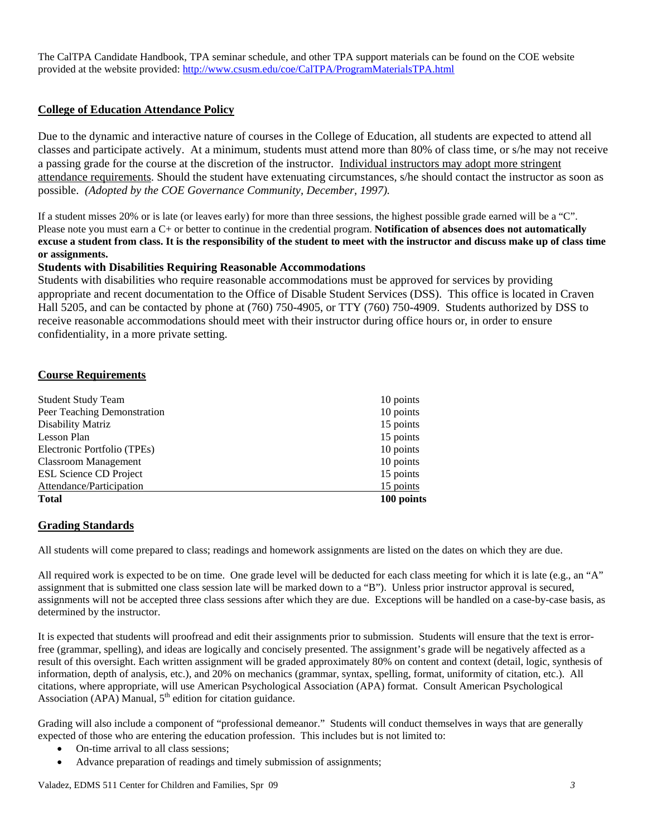provided at the website provided: http://www.csusm.edu/coe/CalTPA/ProgramMaterialsTPA.html The CalTPA Candidate Handbook, TPA seminar schedule, and other TPA support materials can be found on the COE website

# **College of Education Attendance Policy**

 possible. *(Adopted by the COE Governance Community, December, 1997).* Due to the dynamic and interactive nature of courses in the College of Education, all students are expected to attend all classes and participate actively. At a minimum, students must attend more than 80% of class time, or s/he may not receive a passing grade for the course at the discretion of the instructor. Individual instructors may adopt more stringent attendance requirements. Should the student have extenuating circumstances, s/he should contact the instructor as soon as

If a student misses 20% or is late (or leaves early) for more than three sessions, the highest possible grade earned will be a "C". Please note you must earn a C+ or better to continue in the credential program. **Notification of absences does not automatically excuse a student from class. It is the responsibility of the student to meet with the instructor and discuss make up of class time or assignments.** 

## **Students with Disabilities Requiring Reasonable Accommodations**

Students with disabilities who require reasonable accommodations must be approved for services by providing appropriate and recent documentation to the Office of Disable Student Services (DSS). This office is located in Craven Hall 5205, and can be contacted by phone at (760) 750-4905, or TTY (760) 750-4909. Students authorized by DSS to receive reasonable accommodations should meet with their instructor during office hours or, in order to ensure confidentiality, in a more private setting.

# **Course Requirements**

| <b>Student Study Team</b>     | 10 points  |
|-------------------------------|------------|
| Peer Teaching Demonstration   | 10 points  |
| Disability Matriz             | 15 points  |
| Lesson Plan                   | 15 points  |
| Electronic Portfolio (TPEs)   | 10 points  |
| <b>Classroom Management</b>   | 10 points  |
| <b>ESL Science CD Project</b> | 15 points  |
| Attendance/Participation      | 15 points  |
| <b>Total</b>                  | 100 points |

## **Grading Standards**

All students will come prepared to class; readings and homework assignments are listed on the dates on which they are due.

All required work is expected to be on time. One grade level will be deducted for each class meeting for which it is late (e.g., an "A" assignment that is submitted one class session late will be marked down to a "B"). Unless prior instructor approval is secured, assignments will not be accepted three class sessions after which they are due. Exceptions will be handled on a case-by-case basis, as determined by the instructor.

It is expected that students will proofread and edit their assignments prior to submission. Students will ensure that the text is errorfree (grammar, spelling), and ideas are logically and concisely presented. The assignment's grade will be negatively affected as a result of this oversight. Each written assignment will be graded approximately 80% on content and context (detail, logic, synthesis of information, depth of analysis, etc.), and 20% on mechanics (grammar, syntax, spelling, format, uniformity of citation, etc.). All citations, where appropriate, will use American Psychological Association (APA) format. Consult American Psychological Association (APA) Manual,  $5<sup>th</sup>$  edition for citation guidance.

Grading will also include a component of "professional demeanor." Students will conduct themselves in ways that are generally expected of those who are entering the education profession. This includes but is not limited to:

- On-time arrival to all class sessions;
- Advance preparation of readings and timely submission of assignments;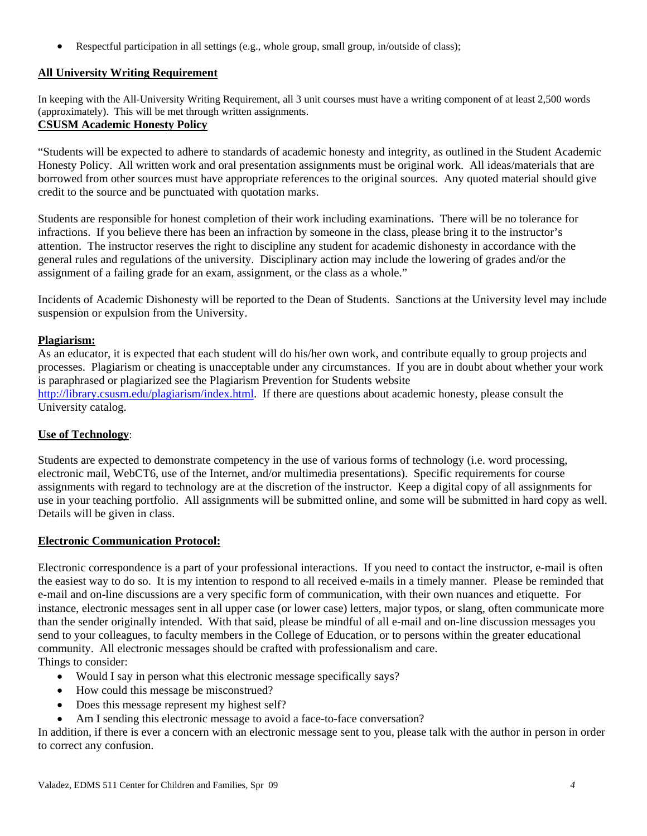• Respectful participation in all settings (e.g., whole group, small group, in/outside of class);

# **All University Writing Requirement**

In keeping with the All-University Writing Requirement, all 3 unit courses must have a writing component of at least 2,500 words (approximately). This will be met through written assignments.

# **CSUSM Academic Honesty Policy**

"Students will be expected to adhere to standards of academic honesty and integrity, as outlined in the Student Academic Honesty Policy. All written work and oral presentation assignments must be original work. All ideas/materials that are borrowed from other sources must have appropriate references to the original sources. Any quoted material should give credit to the source and be punctuated with quotation marks.

Students are responsible for honest completion of their work including examinations. There will be no tolerance for infractions. If you believe there has been an infraction by someone in the class, please bring it to the instructor's attention. The instructor reserves the right to discipline any student for academic dishonesty in accordance with the general rules and regulations of the university. Disciplinary action may include the lowering of grades and/or the assignment of a failing grade for an exam, assignment, or the class as a whole."

Incidents of Academic Dishonesty will be reported to the Dean of Students. Sanctions at the University level may include suspension or expulsion from the University.

# **Plagiarism:**

As an educator, it is expected that each student will do his/her own work, and contribute equally to group projects and processes. Plagiarism or cheating is unacceptable under any circumstances. If you are in doubt about whether your work is paraphrased or plagiarized see the Plagiarism Prevention for Students website http://library.csusm.edu/plagiarism/index.html. If there are questions about academic honesty, please consult the University catalog.

# **Use of Technology**:

Students are expected to demonstrate competency in the use of various forms of technology (i.e. word processing, electronic mail, WebCT6, use of the Internet, and/or multimedia presentations). Specific requirements for course assignments with regard to technology are at the discretion of the instructor. Keep a digital copy of all assignments for use in your teaching portfolio. All assignments will be submitted online, and some will be submitted in hard copy as well. Details will be given in class.

# **Electronic Communication Protocol:**

Electronic correspondence is a part of your professional interactions. If you need to contact the instructor, e-mail is often the easiest way to do so. It is my intention to respond to all received e-mails in a timely manner. Please be reminded that e-mail and on-line discussions are a very specific form of communication, with their own nuances and etiquette. For instance, electronic messages sent in all upper case (or lower case) letters, major typos, or slang, often communicate more than the sender originally intended. With that said, please be mindful of all e-mail and on-line discussion messages you send to your colleagues, to faculty members in the College of Education, or to persons within the greater educational community. All electronic messages should be crafted with professionalism and care. Things to consider:

- Would I say in person what this electronic message specifically says?
- How could this message be misconstrued?
- Does this message represent my highest self?
- Am I sending this electronic message to avoid a face-to-face conversation?

In addition, if there is ever a concern with an electronic message sent to you, please talk with the author in person in order to correct any confusion.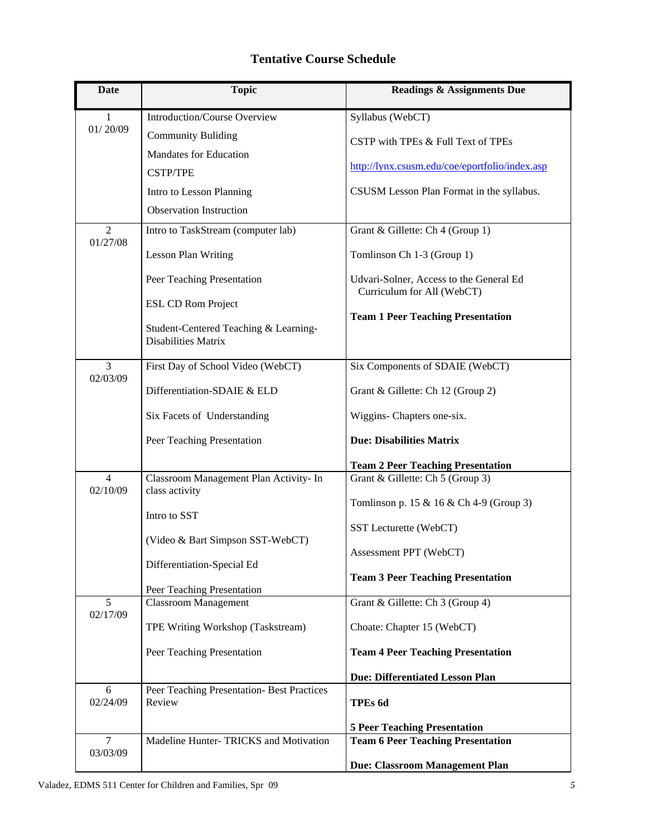# **Tentative Course Schedule**

| Date                       | <b>Topic</b>                                                 | <b>Readings &amp; Assignments Due</b>                                 |
|----------------------------|--------------------------------------------------------------|-----------------------------------------------------------------------|
| 1                          | <b>Introduction/Course Overview</b>                          | Syllabus (WebCT)                                                      |
| 01/20/09                   | <b>Community Buliding</b>                                    | CSTP with TPEs & Full Text of TPEs                                    |
|                            | <b>Mandates for Education</b>                                |                                                                       |
|                            | <b>CSTP/TPE</b>                                              | http://lynx.csusm.edu/coe/eportfolio/index.asp                        |
|                            | Intro to Lesson Planning                                     | CSUSM Lesson Plan Format in the syllabus.                             |
|                            | <b>Observation Instruction</b>                               |                                                                       |
| 2<br>01/27/08              | Intro to TaskStream (computer lab)                           | Grant & Gillette: Ch 4 (Group 1)                                      |
|                            | <b>Lesson Plan Writing</b>                                   | Tomlinson Ch 1-3 (Group 1)                                            |
|                            | Peer Teaching Presentation                                   | Udvari-Solner, Access to the General Ed<br>Curriculum for All (WebCT) |
|                            | <b>ESL CD Rom Project</b>                                    |                                                                       |
|                            | Student-Centered Teaching & Learning-<br>Disabilities Matrix | <b>Team 1 Peer Teaching Presentation</b>                              |
| $\overline{3}$             | First Day of School Video (WebCT)                            | Six Components of SDAIE (WebCT)                                       |
| 02/03/09                   | Differentiation-SDAIE & ELD                                  | Grant & Gillette: Ch 12 (Group 2)                                     |
|                            | Six Facets of Understanding                                  | Wiggins- Chapters one-six.                                            |
|                            | Peer Teaching Presentation                                   | <b>Due: Disabilities Matrix</b>                                       |
|                            |                                                              | <b>Team 2 Peer Teaching Presentation</b>                              |
| $\overline{4}$<br>02/10/09 | Classroom Management Plan Activity- In<br>class activity     | Grant & Gillette: Ch 5 (Group 3)                                      |
|                            |                                                              | Tomlinson p. 15 & 16 & Ch 4-9 (Group 3)                               |
|                            | Intro to SST                                                 | SST Lecturette (WebCT)                                                |
|                            | (Video & Bart Simpson SST-WebCT)                             |                                                                       |
|                            | Differentiation-Special Ed                                   | Assessment PPT (WebCT)                                                |
|                            |                                                              | <b>Team 3 Peer Teaching Presentation</b>                              |
| 5                          | Peer Teaching Presentation<br><b>Classroom Management</b>    | Grant & Gillette: Ch 3 (Group 4)                                      |
| 02/17/09                   | TPE Writing Workshop (Taskstream)                            | Choate: Chapter 15 (WebCT)                                            |
|                            | Peer Teaching Presentation                                   | <b>Team 4 Peer Teaching Presentation</b>                              |
|                            |                                                              | <b>Due: Differentiated Lesson Plan</b>                                |
| 6<br>02/24/09              | Peer Teaching Presentation- Best Practices<br>Review         | TPEs 6d                                                               |
|                            |                                                              | <b>5 Peer Teaching Presentation</b>                                   |
| $\overline{7}$<br>03/03/09 | Madeline Hunter-TRICKS and Motivation                        | <b>Team 6 Peer Teaching Presentation</b>                              |
|                            |                                                              | Due: Classroom Management Plan                                        |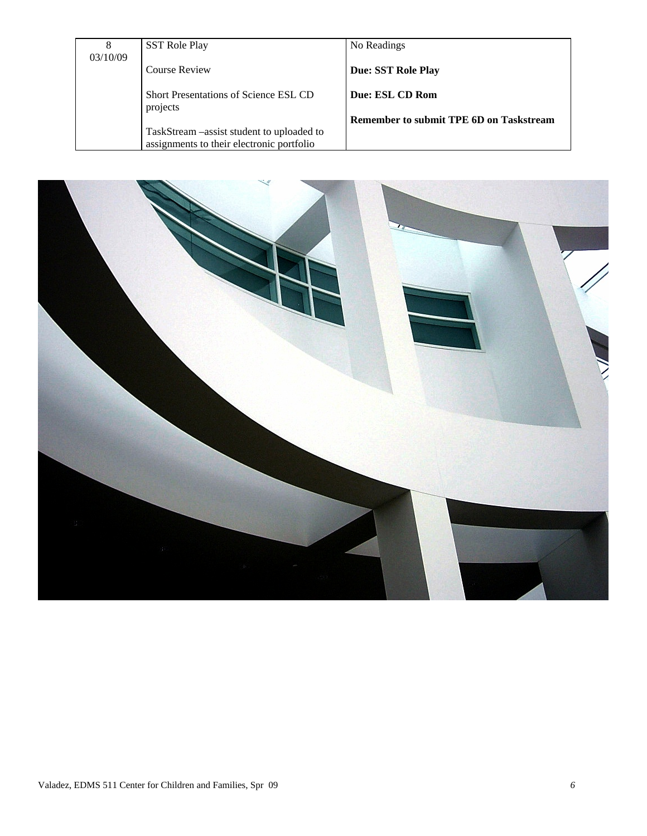|          | <b>SST Role Play</b>                       | No Readings                                    |
|----------|--------------------------------------------|------------------------------------------------|
| 03/10/09 |                                            |                                                |
|          | <b>Course Review</b>                       | Due: SST Role Play                             |
|          |                                            |                                                |
|          | Short Presentations of Science ESL CD      | Due: ESL CD Rom                                |
|          | projects                                   |                                                |
|          |                                            | <b>Remember to submit TPE 6D on Taskstream</b> |
|          | TaskStream – assist student to uploaded to |                                                |
|          | assignments to their electronic portfolio  |                                                |

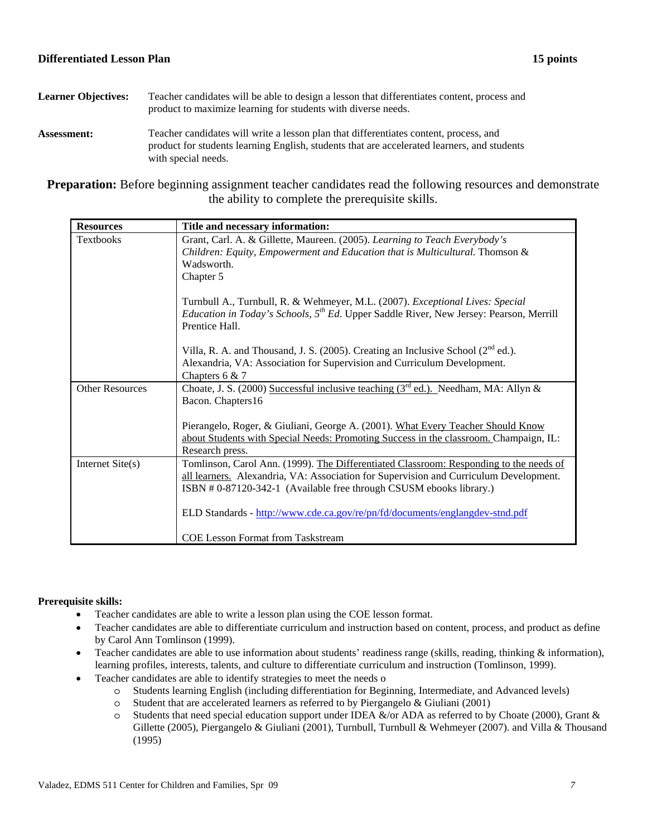- Learner Objectives: Teacher candidates will be able to design a lesson that differentiates content, process and product to maximize learning for students with diverse needs. **Assessment:** Teacher candidates will write a lesson plan that differentiates content, process, and
	- product for students learning English, students that are accelerated learners, and students with special needs.

**Preparation:** Before beginning assignment teacher candidates read the following resources and demonstrate the ability to complete the prerequisite skills.

| <b>Resources</b>       | Title and necessary information:                                                                                                                                                                                                                      |
|------------------------|-------------------------------------------------------------------------------------------------------------------------------------------------------------------------------------------------------------------------------------------------------|
| Textbooks              | Grant, Carl. A. & Gillette, Maureen. (2005). Learning to Teach Everybody's<br>Children: Equity, Empowerment and Education that is Multicultural. Thomson &<br>Wadsworth.<br>Chapter 5                                                                 |
|                        | Turnbull A., Turnbull, R. & Wehmeyer, M.L. (2007). Exceptional Lives: Special<br><i>Education in Today's Schools, <math>5^{th}</math> Ed.</i> Upper Saddle River, New Jersey: Pearson, Merrill<br>Prentice Hall.                                      |
|                        | Villa, R. A. and Thousand, J. S. (2005). Creating an Inclusive School $(2^{nd}$ ed.).<br>Alexandria, VA: Association for Supervision and Curriculum Development.<br>Chapters $6 & 7$                                                                  |
| <b>Other Resources</b> | Choate, J. S. (2000) Successful inclusive teaching $(3rd$ ed.). Needham, MA: Allyn &<br>Bacon. Chapters16                                                                                                                                             |
|                        | Pierangelo, Roger, & Giuliani, George A. (2001). What Every Teacher Should Know<br>about Students with Special Needs: Promoting Success in the classroom. Champaign, IL:<br>Research press.                                                           |
| Internet Site(s)       | Tomlinson, Carol Ann. (1999). The Differentiated Classroom: Responding to the needs of<br>all learners. Alexandria, VA: Association for Supervision and Curriculum Development.<br>ISBN #0-87120-342-1 (Available free through CSUSM ebooks library.) |
|                        | ELD Standards - http://www.cde.ca.gov/re/pn/fd/documents/englangdev-stnd.pdf<br><b>COE Lesson Format from Taskstream</b>                                                                                                                              |
|                        |                                                                                                                                                                                                                                                       |

# **Prerequisite skills:**

- Teacher candidates are able to write a lesson plan using the COE lesson format.
- Teacher candidates are able to differentiate curriculum and instruction based on content, process, and product as define by Carol Ann Tomlinson (1999).
- • Teacher candidates are able to use information about students' readiness range (skills, reading, thinking & information), learning profiles, interests, talents, and culture to differentiate curriculum and instruction (Tomlinson, 1999).
- Teacher candidates are able to identify strategies to meet the needs o
	- o Students learning English (including differentiation for Beginning, Intermediate, and Advanced levels)
	- $\circ$  Student that are accelerated learners as referred to by Piergangelo & Giuliani (2001)
	- $\circ$  Students that need special education support under IDEA &/or ADA as referred to by Choate (2000), Grant & Gillette (2005), Piergangelo & Giuliani (2001), Turnbull, Turnbull & Wehmeyer (2007). and Villa & Thousand (1995)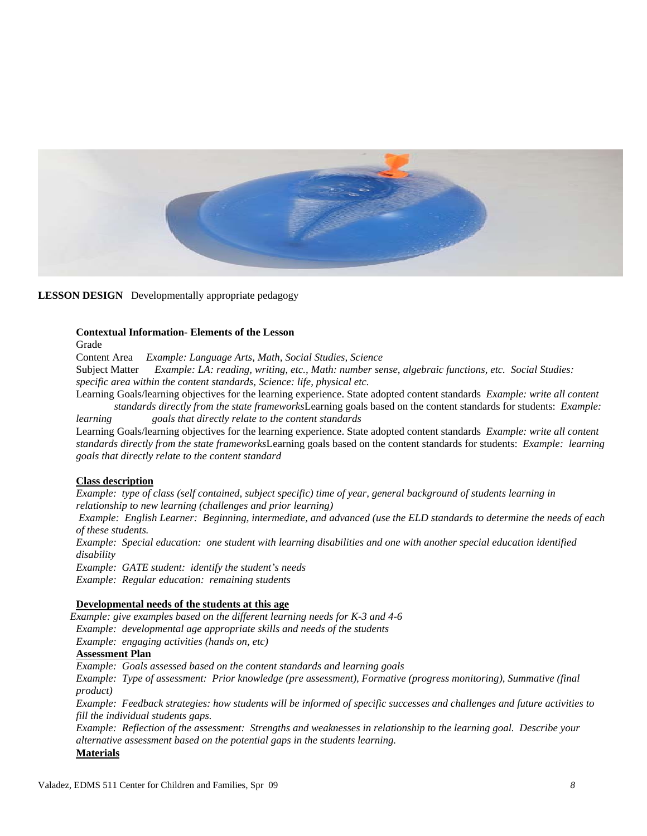

**LESSON DESIGN** Developmentally appropriate pedagogy

## **Contextual Information- Elements of the Lesson**

Grade

Content Area *Example: Language Arts, Math, Social Studies, Science* 

Subject Matter *Example: LA: reading, writing, etc., Math: number sense, algebraic functions, etc. Social Studies: specific area within the content standards, Science: life, physical etc.* 

 *standards directly from the state frameworks*Learning goals based on the content standards for students: *Example:*  Learning Goals/learning objectives for the learning experience. State adopted content standards *Example: write all content* 

*learning goals that directly relate to the content standards*  Learning Goals/learning objectives for the learning experience. State adopted content standards *Example: write all content* 

 *standards directly from the state frameworks*Learning goals based on the content standards for students: *Example: learning goals that directly relate to the content standard* 

### **Class description**

*Example: type of class (self contained, subject specific) time of year, general background of students learning in relationship to new learning (challenges and prior learning)*

 *Example: English Learner: Beginning, intermediate, and advanced (use the ELD standards to determine the needs of each of these students.* 

*Example: Special education: one student with learning disabilities and one with another special education identified disability* 

*Example: GATE student: identify the student's needs* 

*Example: Regular education: remaining students* 

### **Developmental needs of the students at this age**

*Example: give examples based on the different learning needs for K-3 and 4-6 Example: developmental age appropriate skills and needs of the students Example: engaging activities (hands on, etc)*

## **Assessment Plan**

*Example: Goals assessed based on the content standards and learning goals* 

*Example: Type of assessment: Prior knowledge (pre assessment), Formative (progress monitoring), Summative (final product)* 

*Example: Feedback strategies: how students will be informed of specific successes and challenges and future activities to fill the individual students gaps.* 

*Example: Reflection of the assessment: Strengths and weaknesses in relationship to the learning goal. Describe your alternative assessment based on the potential gaps in the students learning.*  **Materials**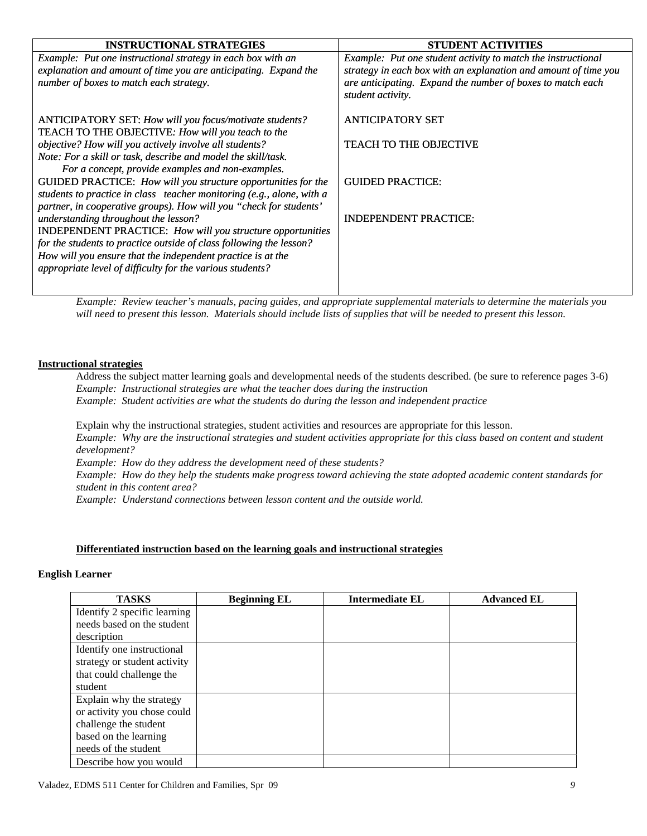| <b>INSTRUCTIONAL STRATEGIES</b>                                       | <b>STUDENT ACTIVITIES</b>                                       |
|-----------------------------------------------------------------------|-----------------------------------------------------------------|
| Example: Put one instructional strategy in each box with an           | Example: Put one student activity to match the instructional    |
| explanation and amount of time you are anticipating. Expand the       | strategy in each box with an explanation and amount of time you |
| number of boxes to match each strategy.                               | are anticipating. Expand the number of boxes to match each      |
|                                                                       | student activity.                                               |
|                                                                       |                                                                 |
| ANTICIPATORY SET: How will you focus/motivate students?               | <b>ANTICIPATORY SET</b>                                         |
| TEACH TO THE OBJECTIVE: How will you teach to the                     |                                                                 |
| objective? How will you actively involve all students?                | <b>TEACH TO THE OBJECTIVE</b>                                   |
| Note: For a skill or task, describe and model the skill/task.         |                                                                 |
| For a concept, provide examples and non-examples.                     |                                                                 |
| GUIDED PRACTICE: How will you structure opportunities for the         | <b>GUIDED PRACTICE:</b>                                         |
| students to practice in class teacher monitoring (e.g., alone, with a |                                                                 |
| partner, in cooperative groups). How will you "check for students'    |                                                                 |
| understanding throughout the lesson?                                  | <b>INDEPENDENT PRACTICE:</b>                                    |
| <b>INDEPENDENT PRACTICE:</b> How will you structure opportunities     |                                                                 |
| for the students to practice outside of class following the lesson?   |                                                                 |
| How will you ensure that the independent practice is at the           |                                                                 |
| appropriate level of difficulty for the various students?             |                                                                 |
|                                                                       |                                                                 |

*Example: Review teacher's manuals, pacing guides, and appropriate supplemental materials to determine the materials you*  will need to present this lesson. Materials should include lists of supplies that will be needed to present this lesson.

### **Instructional strategies**

Address the subject matter learning goals and developmental needs of the students described. (be sure to reference pages 3-6) *Example: Instructional strategies are what the teacher does during the instruction Example: Student activities are what the students do during the lesson and independent practice* 

Explain why the instructional strategies, student activities and resources are appropriate for this lesson. *Example: Why are the instructional strategies and student activities appropriate for this class based on content and student development? Example: How do they address the development need of these students? Example: How do they help the students make progress toward achieving the state adopted academic content standards for student in this content area?* 

*Example: Understand connections between lesson content and the outside world.* 

### **Differentiated instruction based on the learning goals and instructional strategies**

### **English Learner**

| <b>TASKS</b>                 | <b>Beginning EL</b> | <b>Intermediate EL</b> | <b>Advanced EL</b> |
|------------------------------|---------------------|------------------------|--------------------|
| Identify 2 specific learning |                     |                        |                    |
| needs based on the student   |                     |                        |                    |
| description                  |                     |                        |                    |
| Identify one instructional   |                     |                        |                    |
| strategy or student activity |                     |                        |                    |
| that could challenge the     |                     |                        |                    |
| student                      |                     |                        |                    |
| Explain why the strategy     |                     |                        |                    |
| or activity you chose could  |                     |                        |                    |
| challenge the student        |                     |                        |                    |
| based on the learning        |                     |                        |                    |
| needs of the student         |                     |                        |                    |
| Describe how you would       |                     |                        |                    |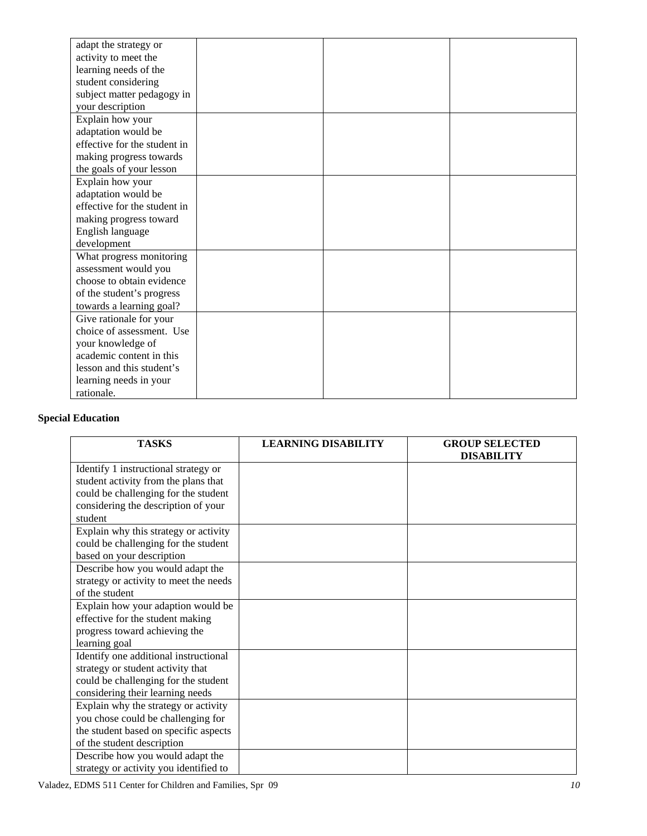| adapt the strategy or        |  |  |
|------------------------------|--|--|
| activity to meet the         |  |  |
| learning needs of the        |  |  |
| student considering          |  |  |
| subject matter pedagogy in   |  |  |
| your description             |  |  |
| Explain how your             |  |  |
| adaptation would be          |  |  |
| effective for the student in |  |  |
| making progress towards      |  |  |
| the goals of your lesson     |  |  |
| Explain how your             |  |  |
| adaptation would be          |  |  |
| effective for the student in |  |  |
| making progress toward       |  |  |
| English language             |  |  |
| development                  |  |  |
| What progress monitoring     |  |  |
| assessment would you         |  |  |
| choose to obtain evidence    |  |  |
| of the student's progress    |  |  |
| towards a learning goal?     |  |  |
| Give rationale for your      |  |  |
| choice of assessment. Use    |  |  |
| your knowledge of            |  |  |
| academic content in this     |  |  |
| lesson and this student's    |  |  |
| learning needs in your       |  |  |
| rationale.                   |  |  |

# **Special Education**

| <b>TASKS</b>                           | <b>LEARNING DISABILITY</b> | <b>GROUP SELECTED</b><br><b>DISABILITY</b> |
|----------------------------------------|----------------------------|--------------------------------------------|
| Identify 1 instructional strategy or   |                            |                                            |
| student activity from the plans that   |                            |                                            |
| could be challenging for the student   |                            |                                            |
| considering the description of your    |                            |                                            |
| student                                |                            |                                            |
| Explain why this strategy or activity  |                            |                                            |
| could be challenging for the student   |                            |                                            |
| based on your description              |                            |                                            |
| Describe how you would adapt the       |                            |                                            |
| strategy or activity to meet the needs |                            |                                            |
| of the student                         |                            |                                            |
| Explain how your adaption would be     |                            |                                            |
| effective for the student making       |                            |                                            |
| progress toward achieving the          |                            |                                            |
| learning goal                          |                            |                                            |
| Identify one additional instructional  |                            |                                            |
| strategy or student activity that      |                            |                                            |
| could be challenging for the student   |                            |                                            |
| considering their learning needs       |                            |                                            |
| Explain why the strategy or activity   |                            |                                            |
| you chose could be challenging for     |                            |                                            |
| the student based on specific aspects  |                            |                                            |
| of the student description             |                            |                                            |
| Describe how you would adapt the       |                            |                                            |
| strategy or activity you identified to |                            |                                            |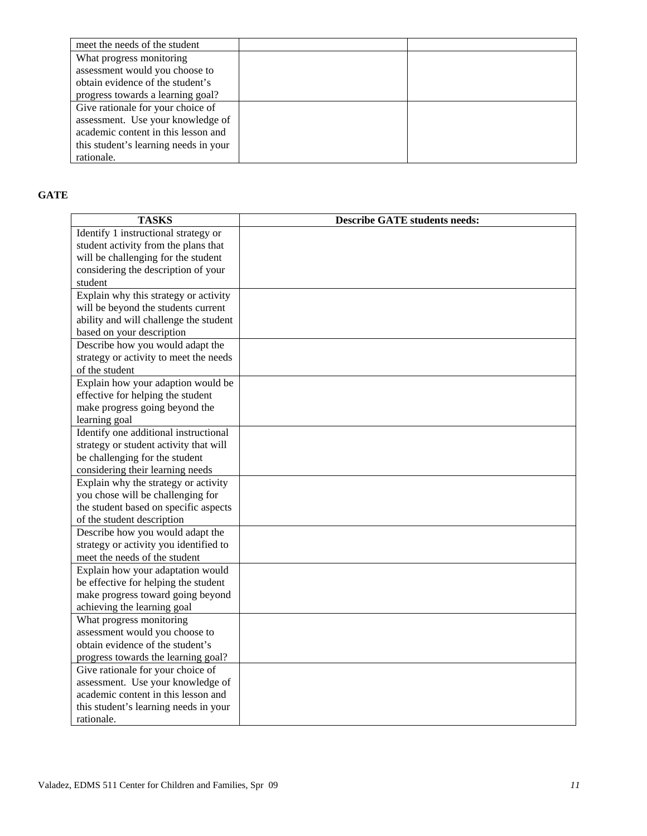| meet the needs of the student         |  |
|---------------------------------------|--|
| What progress monitoring              |  |
| assessment would you choose to        |  |
| obtain evidence of the student's      |  |
| progress towards a learning goal?     |  |
| Give rationale for your choice of     |  |
| assessment. Use your knowledge of     |  |
| academic content in this lesson and   |  |
| this student's learning needs in your |  |
| rationale.                            |  |

# **GATE**

| <b>TASKS</b>                           | <b>Describe GATE students needs:</b> |
|----------------------------------------|--------------------------------------|
| Identify 1 instructional strategy or   |                                      |
| student activity from the plans that   |                                      |
| will be challenging for the student    |                                      |
| considering the description of your    |                                      |
| student                                |                                      |
| Explain why this strategy or activity  |                                      |
| will be beyond the students current    |                                      |
| ability and will challenge the student |                                      |
| based on your description              |                                      |
| Describe how you would adapt the       |                                      |
| strategy or activity to meet the needs |                                      |
| of the student                         |                                      |
| Explain how your adaption would be     |                                      |
| effective for helping the student      |                                      |
| make progress going beyond the         |                                      |
| learning goal                          |                                      |
| Identify one additional instructional  |                                      |
| strategy or student activity that will |                                      |
| be challenging for the student         |                                      |
| considering their learning needs       |                                      |
| Explain why the strategy or activity   |                                      |
| you chose will be challenging for      |                                      |
| the student based on specific aspects  |                                      |
| of the student description             |                                      |
| Describe how you would adapt the       |                                      |
| strategy or activity you identified to |                                      |
| meet the needs of the student          |                                      |
| Explain how your adaptation would      |                                      |
| be effective for helping the student   |                                      |
| make progress toward going beyond      |                                      |
| achieving the learning goal            |                                      |
| What progress monitoring               |                                      |
| assessment would you choose to         |                                      |
| obtain evidence of the student's       |                                      |
| progress towards the learning goal?    |                                      |
| Give rationale for your choice of      |                                      |
| assessment. Use your knowledge of      |                                      |
| academic content in this lesson and    |                                      |
| this student's learning needs in your  |                                      |
| rationale.                             |                                      |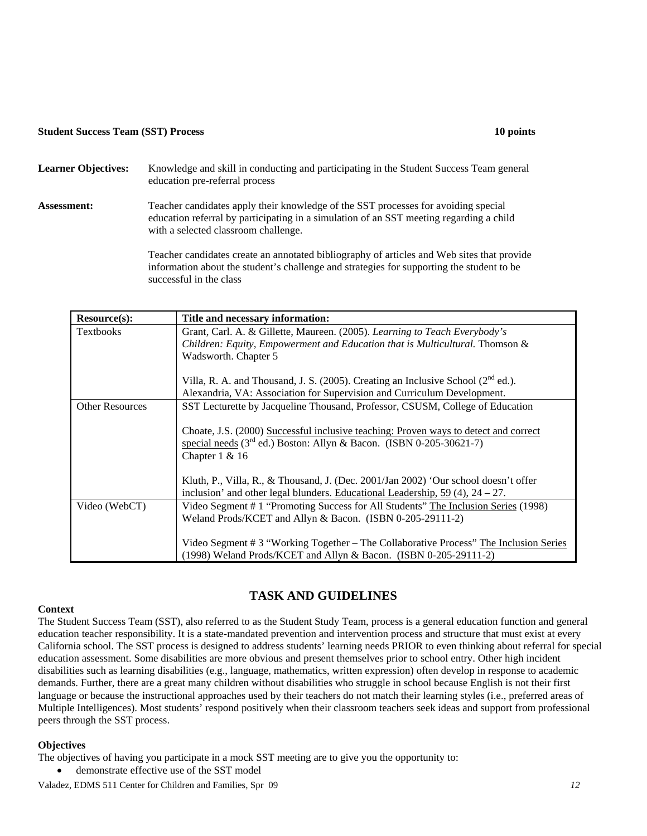### **Student Success Team (SST) Process 10 points 10 points 10 points in the student Success Team (SST) Process 10 points in the student of the student of the student of the student of the student of the student of the student**

# Learner Objectives: Knowledge and skill in conducting and participating in the Student Success Team general education pre-referral process **Assessment:** Teacher candidates apply their knowledge of the SST processes for avoiding special education referral by participating in a simulation of an SST meeting regarding a child with a selected classroom challenge.

Teacher candidates create an annotated bibliography of articles and Web sites that provide information about the student's challenge and strategies for supporting the student to be successful in the class

| <b>Resource(s):</b>    | Title and necessary information:                                                                                                                                                |
|------------------------|---------------------------------------------------------------------------------------------------------------------------------------------------------------------------------|
| <b>Textbooks</b>       | Grant, Carl. A. & Gillette, Maureen. (2005). Learning to Teach Everybody's                                                                                                      |
|                        | Children: Equity, Empowerment and Education that is Multicultural. Thomson &                                                                                                    |
|                        | Wadsworth. Chapter 5                                                                                                                                                            |
|                        | Villa, R. A. and Thousand, J. S. (2005). Creating an Inclusive School (2 <sup>nd</sup> ed.).                                                                                    |
|                        | Alexandria, VA: Association for Supervision and Curriculum Development.                                                                                                         |
| <b>Other Resources</b> | SST Lecturette by Jacqueline Thousand, Professor, CSUSM, College of Education                                                                                                   |
|                        | Choate, J.S. (2000) Successful inclusive teaching: Proven ways to detect and correct<br>special needs $(3rd$ ed.) Boston: Allyn & Bacon. (ISBN 0-205-30621-7)<br>Chapter 1 & 16 |
|                        | Kluth, P., Villa, R., & Thousand, J. (Dec. 2001/Jan 2002) 'Our school doesn't offer<br>inclusion' and other legal blunders. Educational Leadership, $59(4)$ , $24-27$ .         |
| Video (WebCT)          | Video Segment # 1 "Promoting Success for All Students" The Inclusion Series (1998)<br>Weland Prods/KCET and Allyn & Bacon. (ISBN 0-205-29111-2)                                 |
|                        | Video Segment # 3 "Working Together – The Collaborative Process" The Inclusion Series<br>(1998) Weland Prods/KCET and Allyn & Bacon. (ISBN 0-205-29111-2)                       |

# **TASK AND GUIDELINES**

# **Context**

The Student Success Team (SST), also referred to as the Student Study Team, process is a general education function and general education teacher responsibility. It is a state-mandated prevention and intervention process and structure that must exist at every California school. The SST process is designed to address students' learning needs PRIOR to even thinking about referral for special education assessment. Some disabilities are more obvious and present themselves prior to school entry. Other high incident disabilities such as learning disabilities (e.g., language, mathematics, written expression) often develop in response to academic demands. Further, there are a great many children without disabilities who struggle in school because English is not their first language or because the instructional approaches used by their teachers do not match their learning styles (i.e., preferred areas of Multiple Intelligences). Most students' respond positively when their classroom teachers seek ideas and support from professional peers through the SST process.

# **Objectives**

The objectives of having you participate in a mock SST meeting are to give you the opportunity to:

demonstrate effective use of the SST model

Valadez, EDMS 511 Center for Children and Families, Spr 09 *12*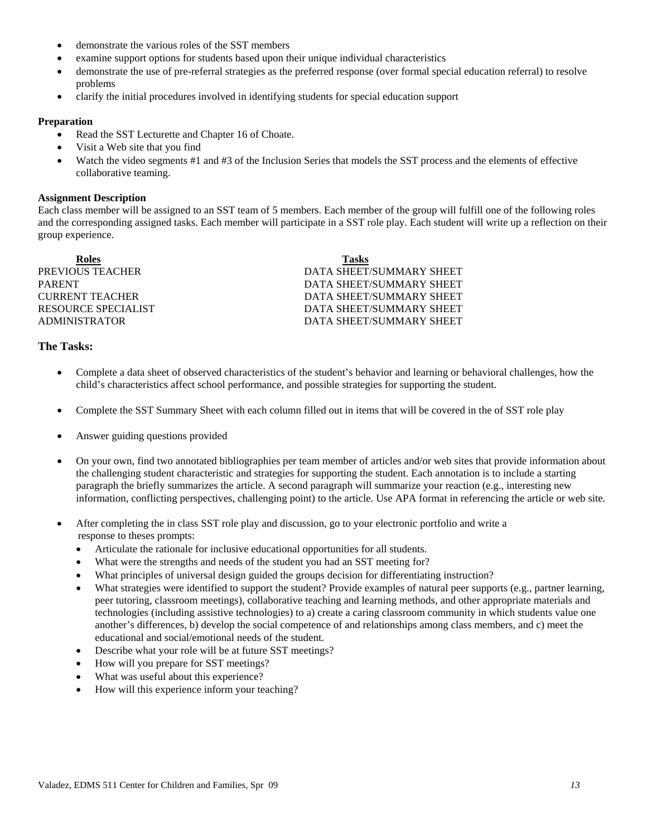- demonstrate the various roles of the SST members
- examine support options for students based upon their unique individual characteristics
- demonstrate the use of pre-referral strategies as the preferred response (over formal special education referral) to resolve problems
- clarify the initial procedures involved in identifying students for special education support

### **Preparation**

- Read the SST Lecturette and Chapter 16 of Choate.
- Visit a Web site that you find
- Watch the video segments #1 and #3 of the Inclusion Series that models the SST process and the elements of effective collaborative teaming.

### **Assignment Description**

Each class member will be assigned to an SST team of 5 members. Each member of the group will fulfill one of the following roles and the corresponding assigned tasks. Each member will participate in a SST role play. Each student will write up a reflection on their group experience.

**Roles Tasks**  PREVIOUS TEACHER DATA SHEET/SUMMARY SHEET PARENT DATA SHEET/SUMMARY SHEET CURRENT TEACHER DATA SHEET/SUMMARY SHEET RESOURCE SPECIALIST DATA SHEET/SUMMARY SHEET ADMINISTRATOR DATA SHEET/SUMMARY SHEET

## **The Tasks:**

- Complete a data sheet of observed characteristics of the student's behavior and learning or behavioral challenges, how the child's characteristics affect school performance, and possible strategies for supporting the student.
- Complete the SST Summary Sheet with each column filled out in items that will be covered in the of SST role play
- Answer guiding questions provided
- On your own, find two annotated bibliographies per team member of articles and/or web sites that provide information about the challenging student characteristic and strategies for supporting the student. Each annotation is to include a starting paragraph the briefly summarizes the article. A second paragraph will summarize your reaction (e.g., interesting new information, conflicting perspectives, challenging point) to the article. Use APA format in referencing the article or web site.
- After completing the in class SST role play and discussion, go to your electronic portfolio and write a response to theses prompts:
	- Articulate the rationale for inclusive educational opportunities for all students.
	- What were the strengths and needs of the student you had an SST meeting for?
	- What principles of universal design guided the groups decision for differentiating instruction?
	- What strategies were identified to support the student? Provide examples of natural peer supports (e.g., partner learning, peer tutoring, classroom meetings), collaborative teaching and learning methods, and other appropriate materials and technologies (including assistive technologies) to a) create a caring classroom community in which students value one another's differences, b) develop the social competence of and relationships among class members, and c) meet the educational and social/emotional needs of the student.
	- Describe what your role will be at future SST meetings?
	- How will you prepare for SST meetings?
	- What was useful about this experience?
	- How will this experience inform your teaching?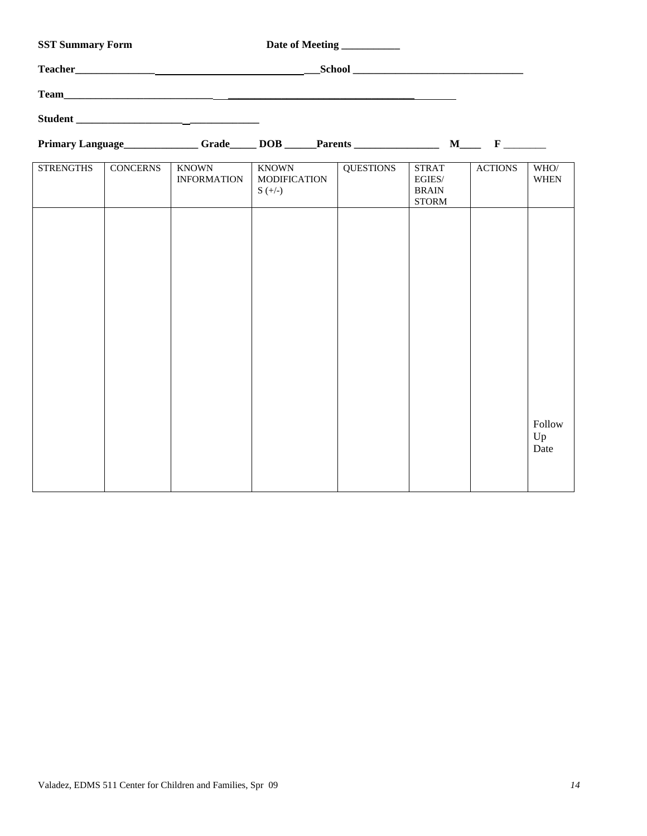| <b>SST Summary Form</b>                |                 | Date of Meeting                    |                                           |                  |                                                        |                |                     |
|----------------------------------------|-----------------|------------------------------------|-------------------------------------------|------------------|--------------------------------------------------------|----------------|---------------------|
| Teacher                                |                 |                                    |                                           |                  |                                                        |                |                     |
|                                        |                 |                                    |                                           |                  |                                                        |                |                     |
|                                        |                 | Student                            |                                           |                  |                                                        |                |                     |
| Primary Language Grade DOB Parents M F |                 |                                    |                                           |                  |                                                        |                |                     |
| <b>STRENGTHS</b>                       | <b>CONCERNS</b> | <b>KNOWN</b><br><b>INFORMATION</b> | KNOWN<br><b>MODIFICATION</b><br>$S (+/-)$ | <b>OUESTIONS</b> | <b>STRAT</b><br>EGIES/<br><b>BRAIN</b><br><b>STORM</b> | <b>ACTIONS</b> | WHO/<br><b>WHEN</b> |
|                                        |                 |                                    |                                           |                  |                                                        |                |                     |

Follow Up Date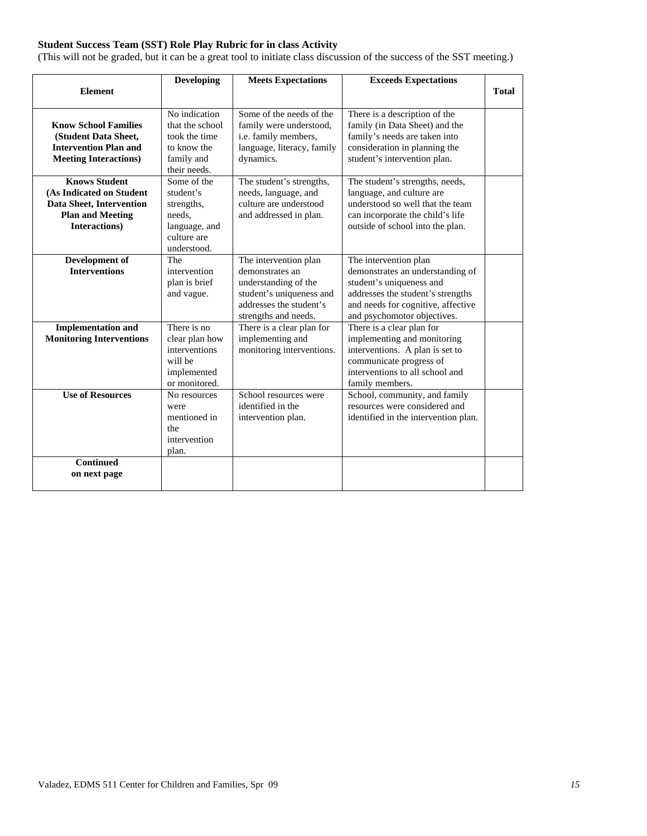# **Student Success Team (SST) Role Play Rubric for in class Activity**

(This will not be graded, but it can be a great tool to initiate class discussion of the success of the SST meeting.)

|                                                                                                                                 | <b>Developing</b>                                                                               | <b>Meets Expectations</b>                                                                                                                       | <b>Exceeds Expectations</b>                                                                                                                                                                     |              |
|---------------------------------------------------------------------------------------------------------------------------------|-------------------------------------------------------------------------------------------------|-------------------------------------------------------------------------------------------------------------------------------------------------|-------------------------------------------------------------------------------------------------------------------------------------------------------------------------------------------------|--------------|
| <b>Element</b>                                                                                                                  |                                                                                                 |                                                                                                                                                 |                                                                                                                                                                                                 | <b>Total</b> |
| <b>Know School Families</b><br>(Student Data Sheet,<br><b>Intervention Plan and</b><br><b>Meeting Interactions)</b>             | No indication<br>that the school<br>took the time<br>to know the<br>family and<br>their needs.  | Some of the needs of the<br>family were understood,<br>i.e. family members,<br>language, literacy, family<br>dynamics.                          | There is a description of the<br>family (in Data Sheet) and the<br>family's needs are taken into<br>consideration in planning the<br>student's intervention plan.                               |              |
| <b>Knows Student</b><br>(As Indicated on Student<br><b>Data Sheet, Intervention</b><br><b>Plan and Meeting</b><br>Interactions) | Some of the<br>student's<br>strengths,<br>needs.<br>language, and<br>culture are<br>understood. | The student's strengths,<br>needs, language, and<br>culture are understood<br>and addressed in plan.                                            | The student's strengths, needs,<br>language, and culture are<br>understood so well that the team<br>can incorporate the child's life<br>outside of school into the plan.                        |              |
| Development of<br><b>Interventions</b>                                                                                          | The<br>intervention<br>plan is brief<br>and vague.                                              | The intervention plan<br>demonstrates an<br>understanding of the<br>student's uniqueness and<br>addresses the student's<br>strengths and needs. | The intervention plan<br>demonstrates an understanding of<br>student's uniqueness and<br>addresses the student's strengths<br>and needs for cognitive, affective<br>and psychomotor objectives. |              |
| <b>Implementation and</b><br><b>Monitoring Interventions</b>                                                                    | There is no<br>clear plan how<br>interventions<br>will be<br>implemented<br>or monitored.       | There is a clear plan for<br>implementing and<br>monitoring interventions.                                                                      | There is a clear plan for<br>implementing and monitoring<br>interventions. A plan is set to<br>communicate progress of<br>interventions to all school and<br>family members.                    |              |
| <b>Use of Resources</b>                                                                                                         | No resources<br>were<br>mentioned in<br>the<br>intervention<br>plan.                            | School resources were<br>identified in the<br>intervention plan.                                                                                | School, community, and family<br>resources were considered and<br>identified in the intervention plan.                                                                                          |              |
| <b>Continued</b><br>on next page                                                                                                |                                                                                                 |                                                                                                                                                 |                                                                                                                                                                                                 |              |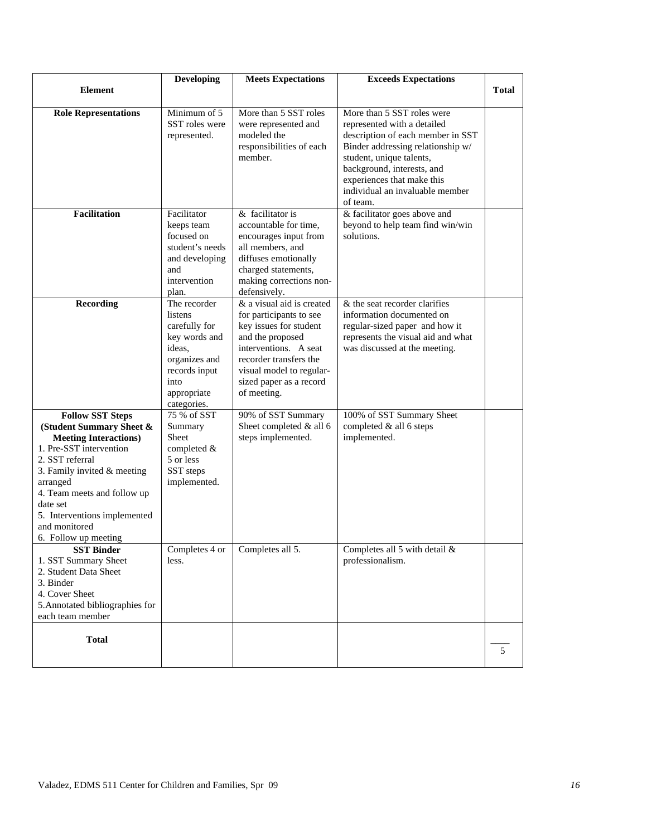| <b>Element</b>                                                                                                                                                                                                                                                                                   | <b>Developing</b>                                                                                                                           | <b>Meets Expectations</b>                                                                                                                                                                                                   | <b>Exceeds Expectations</b>                                                                                                                                                                                                                                                | <b>Total</b> |
|--------------------------------------------------------------------------------------------------------------------------------------------------------------------------------------------------------------------------------------------------------------------------------------------------|---------------------------------------------------------------------------------------------------------------------------------------------|-----------------------------------------------------------------------------------------------------------------------------------------------------------------------------------------------------------------------------|----------------------------------------------------------------------------------------------------------------------------------------------------------------------------------------------------------------------------------------------------------------------------|--------------|
|                                                                                                                                                                                                                                                                                                  |                                                                                                                                             |                                                                                                                                                                                                                             |                                                                                                                                                                                                                                                                            |              |
| <b>Role Representations</b>                                                                                                                                                                                                                                                                      | Minimum of 5<br>SST roles were<br>represented.                                                                                              | More than 5 SST roles<br>were represented and<br>modeled the<br>responsibilities of each<br>member.                                                                                                                         | More than 5 SST roles were<br>represented with a detailed<br>description of each member in SST<br>Binder addressing relationship w/<br>student, unique talents,<br>background, interests, and<br>experiences that make this<br>individual an invaluable member<br>of team. |              |
| <b>Facilitation</b>                                                                                                                                                                                                                                                                              | Facilitator<br>keeps team<br>focused on<br>student's needs<br>and developing<br>and<br>intervention<br>plan.                                | & facilitator is<br>accountable for time,<br>encourages input from<br>all members, and<br>diffuses emotionally<br>charged statements,<br>making corrections non-<br>defensively.                                            | & facilitator goes above and<br>beyond to help team find win/win<br>solutions.                                                                                                                                                                                             |              |
| <b>Recording</b>                                                                                                                                                                                                                                                                                 | The recorder<br>listens<br>carefully for<br>key words and<br>ideas.<br>organizes and<br>records input<br>into<br>appropriate<br>categories. | & a visual aid is created<br>for participants to see<br>key issues for student<br>and the proposed<br>interventions. A seat<br>recorder transfers the<br>visual model to regular-<br>sized paper as a record<br>of meeting. | $&$ the seat recorder clarifies<br>information documented on<br>regular-sized paper and how it<br>represents the visual aid and what<br>was discussed at the meeting.                                                                                                      |              |
| <b>Follow SST Steps</b><br>(Student Summary Sheet &<br><b>Meeting Interactions)</b><br>1. Pre-SST intervention<br>2. SST referral<br>3. Family invited & meeting<br>arranged<br>4. Team meets and follow up<br>date set<br>5. Interventions implemented<br>and monitored<br>6. Follow up meeting | 75 % of SST<br>Summary<br><b>Sheet</b><br>completed &<br>5 or less<br>SST steps<br>implemented.                                             | 90% of SST Summary<br>Sheet completed & all 6<br>steps implemented.                                                                                                                                                         | 100% of SST Summary Sheet<br>completed & all 6 steps<br>implemented.                                                                                                                                                                                                       |              |
| <b>SST Binder</b><br>1. SST Summary Sheet<br>2. Student Data Sheet<br>3. Binder<br>4. Cover Sheet<br>5. Annotated bibliographies for<br>each team member                                                                                                                                         | Completes 4 or<br>less.                                                                                                                     | Completes all 5.                                                                                                                                                                                                            | Completes all 5 with detail &<br>professionalism.                                                                                                                                                                                                                          |              |
| <b>Total</b>                                                                                                                                                                                                                                                                                     |                                                                                                                                             |                                                                                                                                                                                                                             |                                                                                                                                                                                                                                                                            | 5            |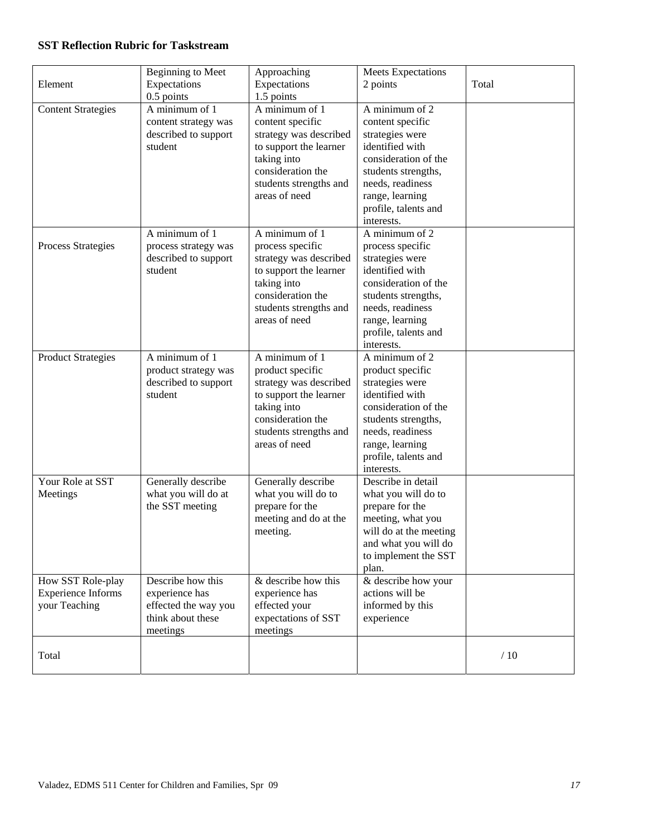# **SST Reflection Rubric for Taskstream**

| Element                                                         | <b>Beginning to Meet</b><br>Expectations<br>0.5 points                                       | Approaching<br>Expectations<br>1.5 points                                                                                                                             | Meets Expectations<br>2 points                                                                                                                                                                       | Total |
|-----------------------------------------------------------------|----------------------------------------------------------------------------------------------|-----------------------------------------------------------------------------------------------------------------------------------------------------------------------|------------------------------------------------------------------------------------------------------------------------------------------------------------------------------------------------------|-------|
| <b>Content Strategies</b>                                       | A minimum of 1<br>content strategy was<br>described to support<br>student                    | A minimum of 1<br>content specific<br>strategy was described<br>to support the learner<br>taking into<br>consideration the<br>students strengths and<br>areas of need | A minimum of 2<br>content specific<br>strategies were<br>identified with<br>consideration of the<br>students strengths,<br>needs, readiness<br>range, learning<br>profile, talents and<br>interests. |       |
| <b>Process Strategies</b>                                       | A minimum of 1<br>process strategy was<br>described to support<br>student                    | A minimum of 1<br>process specific<br>strategy was described<br>to support the learner<br>taking into<br>consideration the<br>students strengths and<br>areas of need | A minimum of 2<br>process specific<br>strategies were<br>identified with<br>consideration of the<br>students strengths,<br>needs, readiness<br>range, learning<br>profile, talents and<br>interests. |       |
| <b>Product Strategies</b>                                       | A minimum of 1<br>product strategy was<br>described to support<br>student                    | A minimum of 1<br>product specific<br>strategy was described<br>to support the learner<br>taking into<br>consideration the<br>students strengths and<br>areas of need | A minimum of 2<br>product specific<br>strategies were<br>identified with<br>consideration of the<br>students strengths,<br>needs, readiness<br>range, learning<br>profile, talents and<br>interests. |       |
| Your Role at SST<br>Meetings                                    | Generally describe<br>what you will do at<br>the SST meeting                                 | Generally describe<br>what you will do to<br>prepare for the<br>meeting and do at the<br>meeting.                                                                     | Describe in detail<br>what you will do to<br>prepare for the<br>meeting, what you<br>will do at the meeting<br>and what you will do<br>to implement the SST<br>plan.                                 |       |
| How SST Role-play<br><b>Experience Informs</b><br>your Teaching | Describe how this<br>experience has<br>effected the way you<br>think about these<br>meetings | & describe how this<br>experience has<br>effected your<br>expectations of SST<br>meetings                                                                             | & describe how your<br>actions will be<br>informed by this<br>experience                                                                                                                             |       |
| Total                                                           |                                                                                              |                                                                                                                                                                       |                                                                                                                                                                                                      | /10   |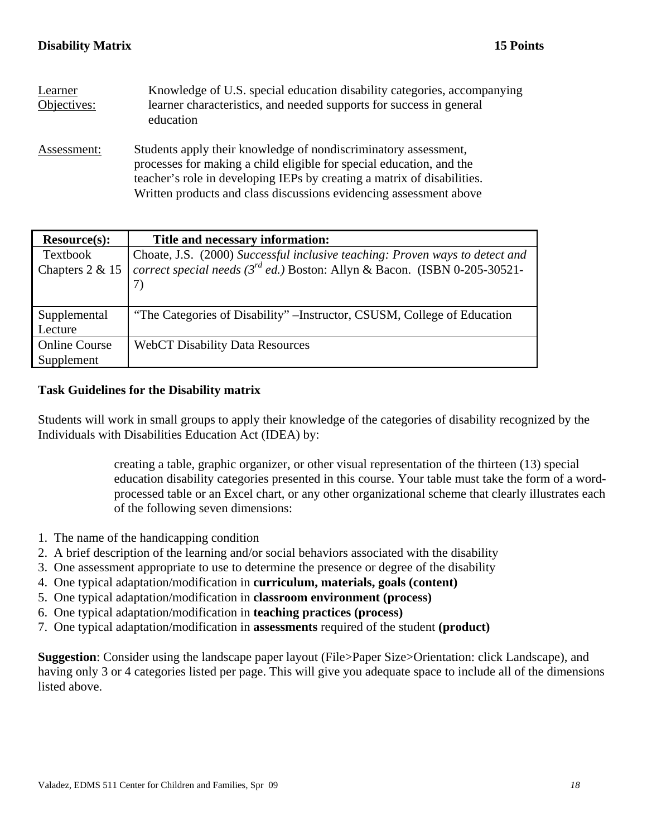| Learner<br>Objectives: | Knowledge of U.S. special education disability categories, accompanying<br>learner characteristics, and needed supports for success in general<br>education                                                                                                                              |
|------------------------|------------------------------------------------------------------------------------------------------------------------------------------------------------------------------------------------------------------------------------------------------------------------------------------|
| Assessment:            | Students apply their knowledge of nondiscriminatory assessment,<br>processes for making a child eligible for special education, and the<br>teacher's role in developing IEPs by creating a matrix of disabilities.<br>Written products and class discussions evidencing assessment above |

| <b>Resource(s):</b>  | Title and necessary information:                                                |
|----------------------|---------------------------------------------------------------------------------|
| Textbook             | Choate, J.S. (2000) Successful inclusive teaching: Proven ways to detect and    |
| Chapters 2 & 15      | correct special needs ( $3^{rd}$ ed.) Boston: Allyn & Bacon. (ISBN 0-205-30521- |
|                      |                                                                                 |
|                      |                                                                                 |
| Supplemental         | "The Categories of Disability" – Instructor, CSUSM, College of Education        |
| Lecture              |                                                                                 |
| <b>Online Course</b> | <b>WebCT Disability Data Resources</b>                                          |
| Supplement           |                                                                                 |

# **Task Guidelines for the Disability matrix**

Students will work in small groups to apply their knowledge of the categories of disability recognized by the Individuals with Disabilities Education Act (IDEA) by:

> creating a table, graphic organizer, or other visual representation of the thirteen (13) special education disability categories presented in this course. Your table must take the form of a wordprocessed table or an Excel chart, or any other organizational scheme that clearly illustrates each of the following seven dimensions:

- 1. The name of the handicapping condition
- 2. A brief description of the learning and/or social behaviors associated with the disability
- 3. One assessment appropriate to use to determine the presence or degree of the disability
- 4. One typical adaptation/modification in **curriculum, materials, goals (content)**
- 5. One typical adaptation/modification in **classroom environment (process)**
- 6. One typical adaptation/modification in **teaching practices (process)**
- 7. One typical adaptation/modification in **assessments** required of the student **(product)**

**Suggestion**: Consider using the landscape paper layout (File>Paper Size>Orientation: click Landscape), and having only 3 or 4 categories listed per page. This will give you adequate space to include all of the dimensions listed above.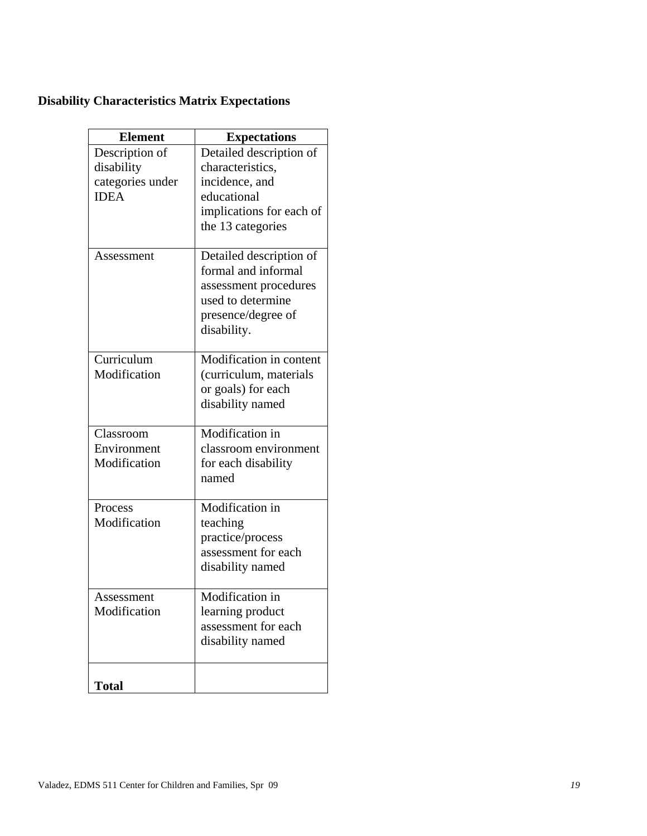# **Disability Characteristics Matrix Expectations**

| <b>Element</b>   | <b>Expectations</b>      |
|------------------|--------------------------|
| Description of   | Detailed description of  |
| disability       | characteristics,         |
| categories under | incidence, and           |
| <b>IDEA</b>      | educational              |
|                  | implications for each of |
|                  | the 13 categories        |
| Assessment       | Detailed description of  |
|                  | formal and informal      |
|                  | assessment procedures    |
|                  | used to determine        |
|                  | presence/degree of       |
|                  | disability.              |
| Curriculum       | Modification in content  |
| Modification     | (curriculum, materials   |
|                  | or goals) for each       |
|                  | disability named         |
|                  |                          |
| Classroom        | Modification in          |
| Environment      | classroom environment    |
| Modification     | for each disability      |
|                  | named                    |
| Process          | Modification in          |
| Modification     | teaching                 |
|                  | practice/process         |
|                  | assessment for each      |
|                  | disability named         |
| Assessment       | Modification in          |
| Modification     | learning product         |
|                  | assessment for each      |
|                  | disability named         |
|                  |                          |
| <b>Total</b>     |                          |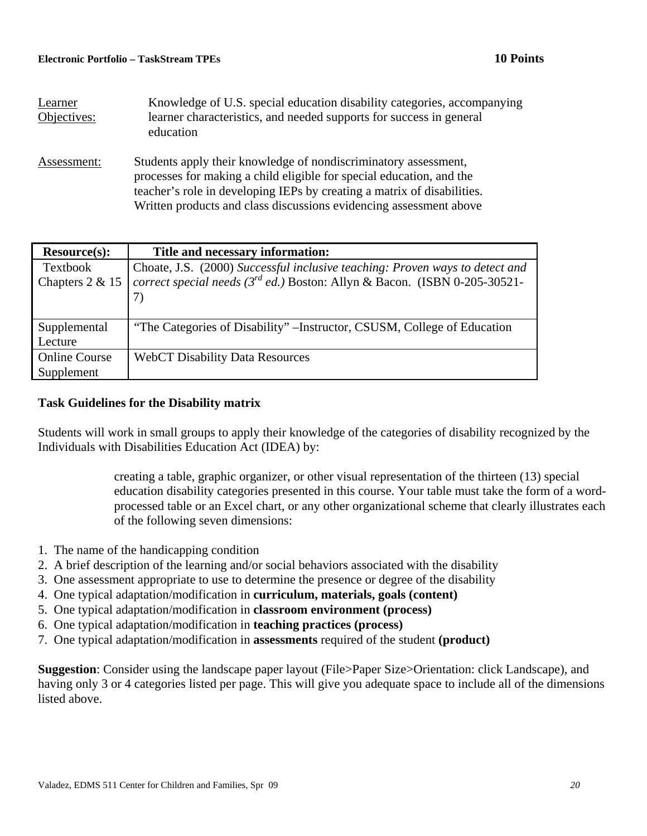| Learner<br>Objectives: | Knowledge of U.S. special education disability categories, accompanying<br>learner characteristics, and needed supports for success in general<br>education                                                                                                                              |
|------------------------|------------------------------------------------------------------------------------------------------------------------------------------------------------------------------------------------------------------------------------------------------------------------------------------|
| Assessment:            | Students apply their knowledge of nondiscriminatory assessment,<br>processes for making a child eligible for special education, and the<br>teacher's role in developing IEPs by creating a matrix of disabilities.<br>Written products and class discussions evidencing assessment above |

| <b>Resource(s):</b>  | Title and necessary information:                                                |
|----------------------|---------------------------------------------------------------------------------|
| Textbook             | Choate, J.S. (2000) Successful inclusive teaching: Proven ways to detect and    |
| Chapters 2 & 15      | correct special needs ( $3^{rd}$ ed.) Boston: Allyn & Bacon. (ISBN 0-205-30521- |
|                      |                                                                                 |
|                      |                                                                                 |
| Supplemental         | "The Categories of Disability" – Instructor, CSUSM, College of Education        |
| Lecture              |                                                                                 |
| <b>Online Course</b> | <b>WebCT Disability Data Resources</b>                                          |
| Supplement           |                                                                                 |

# **Task Guidelines for the Disability matrix**

Students will work in small groups to apply their knowledge of the categories of disability recognized by the Individuals with Disabilities Education Act (IDEA) by:

> creating a table, graphic organizer, or other visual representation of the thirteen (13) special education disability categories presented in this course. Your table must take the form of a wordprocessed table or an Excel chart, or any other organizational scheme that clearly illustrates each of the following seven dimensions:

- 1. The name of the handicapping condition
- 2. A brief description of the learning and/or social behaviors associated with the disability
- 3. One assessment appropriate to use to determine the presence or degree of the disability
- 4. One typical adaptation/modification in **curriculum, materials, goals (content)**
- 5. One typical adaptation/modification in **classroom environment (process)**
- 6. One typical adaptation/modification in **teaching practices (process)**
- 7. One typical adaptation/modification in **assessments** required of the student **(product)**

**Suggestion**: Consider using the landscape paper layout (File>Paper Size>Orientation: click Landscape), and having only 3 or 4 categories listed per page. This will give you adequate space to include all of the dimensions listed above.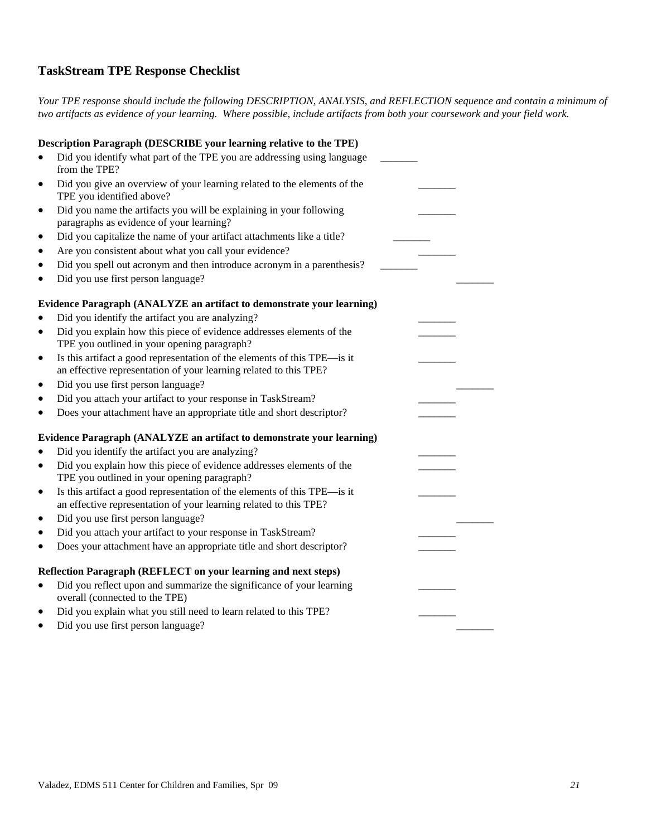# **TaskStream TPE Response Checklist**

*Your TPE response should include the following DESCRIPTION, ANALYSIS, and REFLECTION sequence and contain a minimum of two artifacts as evidence of your learning. Where possible, include artifacts from both your coursework and your field work.* 

|           | Description Paragraph (DESCRIBE your learning relative to the TPE)                                                                            |  |  |
|-----------|-----------------------------------------------------------------------------------------------------------------------------------------------|--|--|
|           | Did you identify what part of the TPE you are addressing using language<br>from the TPE?                                                      |  |  |
| $\bullet$ | Did you give an overview of your learning related to the elements of the<br>TPE you identified above?                                         |  |  |
| $\bullet$ | Did you name the artifacts you will be explaining in your following<br>paragraphs as evidence of your learning?                               |  |  |
| $\bullet$ | Did you capitalize the name of your artifact attachments like a title?                                                                        |  |  |
| $\bullet$ | Are you consistent about what you call your evidence?                                                                                         |  |  |
| $\bullet$ | Did you spell out acronym and then introduce acronym in a parenthesis?                                                                        |  |  |
| $\bullet$ | Did you use first person language?                                                                                                            |  |  |
|           | Evidence Paragraph (ANALYZE an artifact to demonstrate your learning)                                                                         |  |  |
|           | Did you identify the artifact you are analyzing?                                                                                              |  |  |
| $\bullet$ | Did you explain how this piece of evidence addresses elements of the                                                                          |  |  |
|           | TPE you outlined in your opening paragraph?                                                                                                   |  |  |
| ٠         | Is this artifact a good representation of the elements of this TPE—is it                                                                      |  |  |
|           | an effective representation of your learning related to this TPE?                                                                             |  |  |
| $\bullet$ | Did you use first person language?                                                                                                            |  |  |
| ٠         | Did you attach your artifact to your response in TaskStream?                                                                                  |  |  |
| $\bullet$ | Does your attachment have an appropriate title and short descriptor?                                                                          |  |  |
|           | Evidence Paragraph (ANALYZE an artifact to demonstrate your learning)                                                                         |  |  |
|           | Did you identify the artifact you are analyzing?                                                                                              |  |  |
| $\bullet$ | Did you explain how this piece of evidence addresses elements of the<br>TPE you outlined in your opening paragraph?                           |  |  |
| $\bullet$ | Is this artifact a good representation of the elements of this TPE-is it<br>an effective representation of your learning related to this TPE? |  |  |
| $\bullet$ | Did you use first person language?                                                                                                            |  |  |
| $\bullet$ | Did you attach your artifact to your response in TaskStream?                                                                                  |  |  |
| $\bullet$ | Does your attachment have an appropriate title and short descriptor?                                                                          |  |  |
|           | Reflection Paragraph (REFLECT on your learning and next steps)                                                                                |  |  |
| $\bullet$ | Did you reflect upon and summarize the significance of your learning<br>overall (connected to the TPE)                                        |  |  |
| ٠         | Did you explain what you still need to learn related to this TPE?                                                                             |  |  |
|           | Did you use first person language?                                                                                                            |  |  |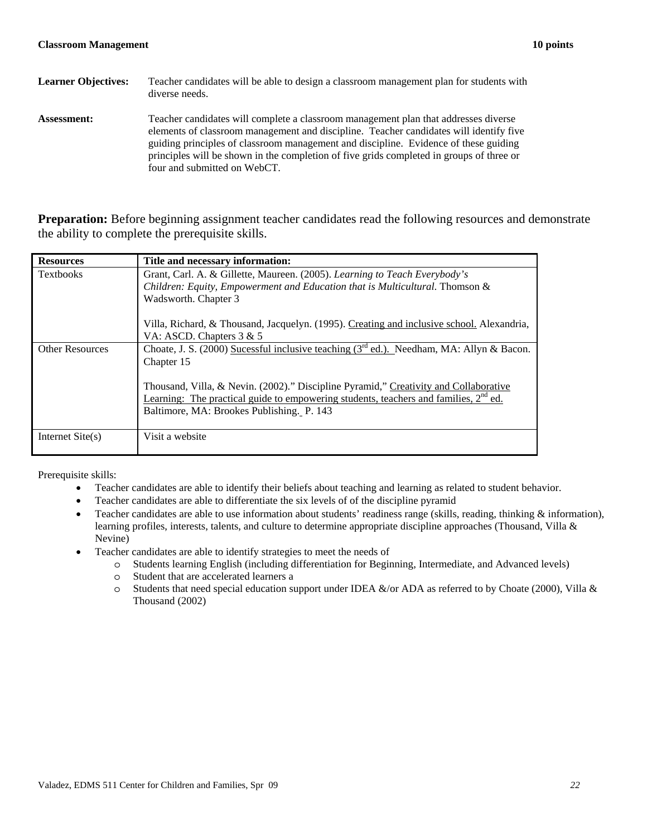| <b>Learner Objectives:</b> | Teacher candidates will be able to design a classroom management plan for students with<br>diverse needs.                                                                                                                                                                                                                                                                                         |
|----------------------------|---------------------------------------------------------------------------------------------------------------------------------------------------------------------------------------------------------------------------------------------------------------------------------------------------------------------------------------------------------------------------------------------------|
| <b>Assessment:</b>         | Teacher candidates will complete a classroom management plan that addresses diverse<br>elements of classroom management and discipline. Teacher candidates will identify five<br>guiding principles of classroom management and discipline. Evidence of these guiding<br>principles will be shown in the completion of five grids completed in groups of three or<br>four and submitted on WebCT. |

**Preparation:** Before beginning assignment teacher candidates read the following resources and demonstrate the ability to complete the prerequisite skills.

| <b>Resources</b>       | Title and necessary information:                                                                                                                                                                                                      |
|------------------------|---------------------------------------------------------------------------------------------------------------------------------------------------------------------------------------------------------------------------------------|
| <b>Textbooks</b>       | Grant, Carl. A. & Gillette, Maureen. (2005). Learning to Teach Everybody's<br>Children: Equity, Empowerment and Education that is Multicultural. Thomson &<br>Wadsworth. Chapter 3                                                    |
|                        | Villa, Richard, & Thousand, Jacquelyn. (1995). Creating and inclusive school. Alexandria,<br>VA: ASCD. Chapters $3 & 5$                                                                                                               |
| <b>Other Resources</b> | Choate, J. S. (2000) Sucessful inclusive teaching ( $3rd$ ed.). Needham, MA: Allyn & Bacon.<br>Chapter 15                                                                                                                             |
|                        | Thousand, Villa, & Nevin. (2002)." Discipline Pyramid," Creativity and Collaborative<br>Learning: The practical guide to empowering students, teachers and families, 2 <sup>nd</sup> ed.<br>Baltimore, MA: Brookes Publishing. P. 143 |
| Internet $Site(s)$     | Visit a website                                                                                                                                                                                                                       |

Prerequisite skills:

- Teacher candidates are able to identify their beliefs about teaching and learning as related to student behavior.
- Teacher candidates are able to differentiate the six levels of of the discipline pyramid
- Teacher candidates are able to use information about students' readiness range (skills, reading, thinking  $\&$  information), learning profiles, interests, talents, and culture to determine appropriate discipline approaches (Thousand, Villa & Nevine)
- Teacher candidates are able to identify strategies to meet the needs of
	- o Students learning English (including differentiation for Beginning, Intermediate, and Advanced levels)
	- o Student that are accelerated learners a
	- $\circ$  Students that need special education support under IDEA &/or ADA as referred to by Choate (2000), Villa & Thousand (2002)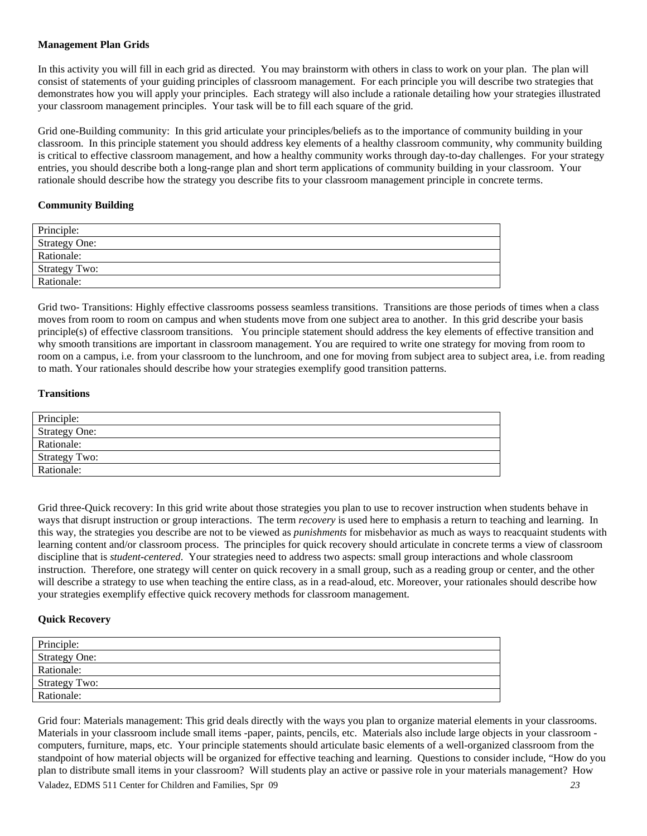### **Management Plan Grids**

In this activity you will fill in each grid as directed. You may brainstorm with others in class to work on your plan. The plan will consist of statements of your guiding principles of classroom management. For each principle you will describe two strategies that demonstrates how you will apply your principles. Each strategy will also include a rationale detailing how your strategies illustrated your classroom management principles. Your task will be to fill each square of the grid.

Grid one-Building community: In this grid articulate your principles/beliefs as to the importance of community building in your classroom. In this principle statement you should address key elements of a healthy classroom community, why community building is critical to effective classroom management, and how a healthy community works through day-to-day challenges. For your strategy entries, you should describe both a long-range plan and short term applications of community building in your classroom. Your rationale should describe how the strategy you describe fits to your classroom management principle in concrete terms.

### **Community Building**

| Principle:           |
|----------------------|
| <b>Strategy One:</b> |
| Rationale:           |
| Strategy Two:        |
| Rationale:           |

Grid two- Transitions: Highly effective classrooms possess seamless transitions. Transitions are those periods of times when a class moves from room to room on campus and when students move from one subject area to another. In this grid describe your basis principle(s) of effective classroom transitions. You principle statement should address the key elements of effective transition and why smooth transitions are important in classroom management. You are required to write one strategy for moving from room to room on a campus, i.e. from your classroom to the lunchroom, and one for moving from subject area to subject area, i.e. from reading to math. Your rationales should describe how your strategies exemplify good transition patterns.

### **Transitions**

| Principle:           |
|----------------------|
| <b>Strategy One:</b> |
| Rationale:           |
| <b>Strategy Two:</b> |
| Rationale:           |

Grid three-Quick recovery: In this grid write about those strategies you plan to use to recover instruction when students behave in ways that disrupt instruction or group interactions. The term *recovery* is used here to emphasis a return to teaching and learning. In this way, the strategies you describe are not to be viewed as *punishments* for misbehavior as much as ways to reacquaint students with learning content and/or classroom process. The principles for quick recovery should articulate in concrete terms a view of classroom discipline that is *student-centered*. Your strategies need to address two aspects: small group interactions and whole classroom instruction. Therefore, one strategy will center on quick recovery in a small group, such as a reading group or center, and the other will describe a strategy to use when teaching the entire class, as in a read-aloud, etc. Moreover, your rationales should describe how your strategies exemplify effective quick recovery methods for classroom management.

### **Quick Recovery**

| Principle:           |  |
|----------------------|--|
| <b>Strategy One:</b> |  |
| Rationale:           |  |
| <b>Strategy Two:</b> |  |
| Rationale:           |  |
|                      |  |

Grid four: Materials management: This grid deals directly with the ways you plan to organize material elements in your classrooms. plan to distribute small items in your classroom? Will students play an active or passive role in your materials management? How Materials in your classroom include small items -paper, paints, pencils, etc. Materials also include large objects in your classroom computers, furniture, maps, etc. Your principle statements should articulate basic elements of a well-organized classroom from the standpoint of how material objects will be organized for effective teaching and learning. Questions to consider include, "How do you Valadez, EDMS 511 Center for Children and Families, Spr 09 *23*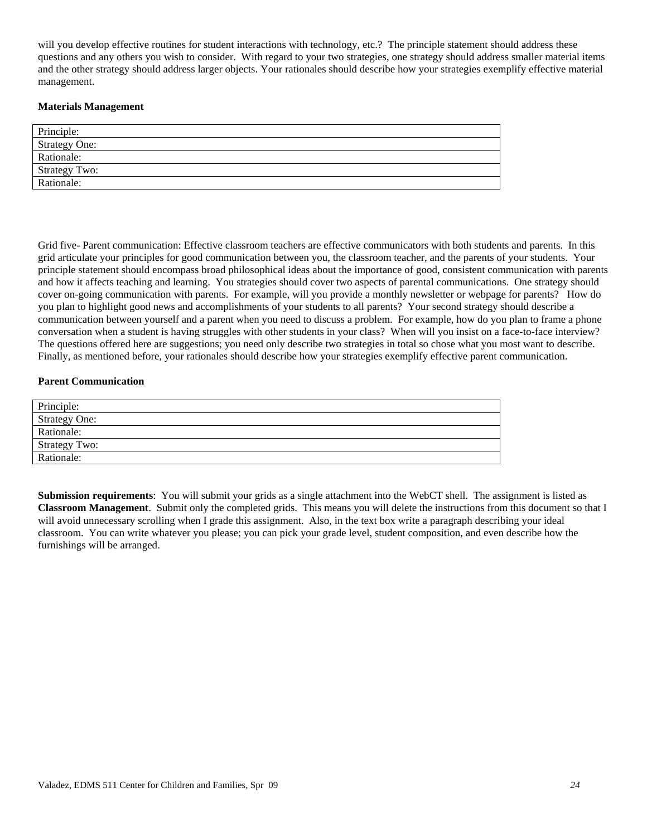will you develop effective routines for student interactions with technology, etc.? The principle statement should address these questions and any others you wish to consider. With regard to your two strategies, one strategy should address smaller material items and the other strategy should address larger objects. Your rationales should describe how your strategies exemplify effective material management.

### **Materials Management**

| Principle:           |  |
|----------------------|--|
| <b>Strategy One:</b> |  |
| Rationale:           |  |
| <b>Strategy Two:</b> |  |
| Rationale:           |  |

conversation when a student is having struggles with other students in your class? When will you insist on a face-to-face interview? Grid five- Parent communication: Effective classroom teachers are effective communicators with both students and parents. In this grid articulate your principles for good communication between you, the classroom teacher, and the parents of your students. Your principle statement should encompass broad philosophical ideas about the importance of good, consistent communication with parents and how it affects teaching and learning. You strategies should cover two aspects of parental communications. One strategy should cover on-going communication with parents. For example, will you provide a monthly newsletter or webpage for parents? How do you plan to highlight good news and accomplishments of your students to all parents? Your second strategy should describe a communication between yourself and a parent when you need to discuss a problem. For example, how do you plan to frame a phone The questions offered here are suggestions; you need only describe two strategies in total so chose what you most want to describe. Finally, as mentioned before, your rationales should describe how your strategies exemplify effective parent communication.

### **Parent Communication**

| Principle:           |  |
|----------------------|--|
| <b>Strategy One:</b> |  |
| Rationale:           |  |
| <b>Strategy Two:</b> |  |
| Rationale:           |  |
|                      |  |

furnishings will be arranged. **Submission requirements**: You will submit your grids as a single attachment into the WebCT shell. The assignment is listed as **Classroom Management**. Submit only the completed grids. This means you will delete the instructions from this document so that I will avoid unnecessary scrolling when I grade this assignment. Also, in the text box write a paragraph describing your ideal classroom. You can write whatever you please; you can pick your grade level, student composition, and even describe how the furnishings will be arranged. Valadez, EDMS 511 Center for Children and Families, Spr 09 *24*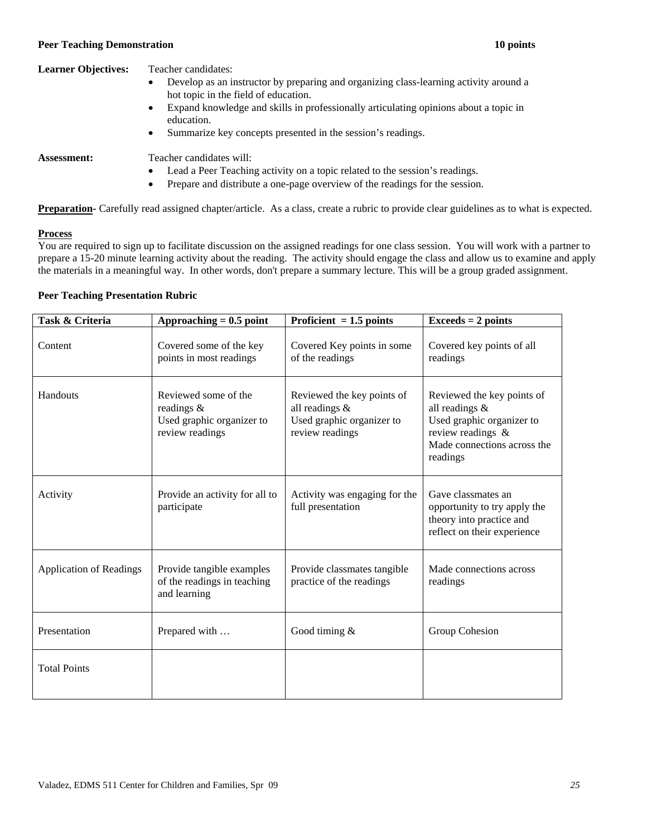### **Peer Teaching Demonstration 10 points Peer Teaching Demonstration 10 points 10 points**

## **Learner Objectives:** Teacher candidates:

- Develop as an instructor by preparing and organizing class-learning activity around a hot topic in the field of education.
- Expand knowledge and skills in professionally articulating opinions about a topic in education.
- Summarize key concepts presented in the session's readings.

- **Assessment:** Teacher candidates will:
	- Lead a Peer Teaching activity on a topic related to the session's readings.
	- Prepare and distribute a one-page overview of the readings for the session.

**Preparation-** Carefully read assigned chapter/article. As a class, create a rubric to provide clear guidelines as to what is expected.

### **Process**

You are required to sign up to facilitate discussion on the assigned readings for one class session. You will work with a partner to prepare a 15-20 minute learning activity about the reading. The activity should engage the class and allow us to examine and apply the materials in a meaningful way. In other words, don't prepare a summary lecture. This will be a group graded assignment.

### **Peer Teaching Presentation Rubric**

| Task & Criteria                | Approaching $= 0.5$ point                                                             | Proficient $= 1.5$ points                                                                    | $Exceeds = 2 points$                                                                                                                      |
|--------------------------------|---------------------------------------------------------------------------------------|----------------------------------------------------------------------------------------------|-------------------------------------------------------------------------------------------------------------------------------------------|
| Content                        | Covered some of the key<br>points in most readings                                    | Covered Key points in some<br>of the readings                                                | Covered key points of all<br>readings                                                                                                     |
| Handouts                       | Reviewed some of the<br>readings $\&$<br>Used graphic organizer to<br>review readings | Reviewed the key points of<br>all readings &<br>Used graphic organizer to<br>review readings | Reviewed the key points of<br>all readings &<br>Used graphic organizer to<br>review readings &<br>Made connections across the<br>readings |
| Activity                       | Provide an activity for all to<br>participate                                         | Activity was engaging for the<br>full presentation                                           | Gave classmates an<br>opportunity to try apply the<br>theory into practice and<br>reflect on their experience                             |
| <b>Application of Readings</b> | Provide tangible examples<br>of the readings in teaching<br>and learning              | Provide classmates tangible<br>practice of the readings                                      | Made connections across<br>readings                                                                                                       |
| Presentation                   | Prepared with                                                                         | Good timing $&$                                                                              | Group Cohesion                                                                                                                            |
| <b>Total Points</b>            |                                                                                       |                                                                                              |                                                                                                                                           |